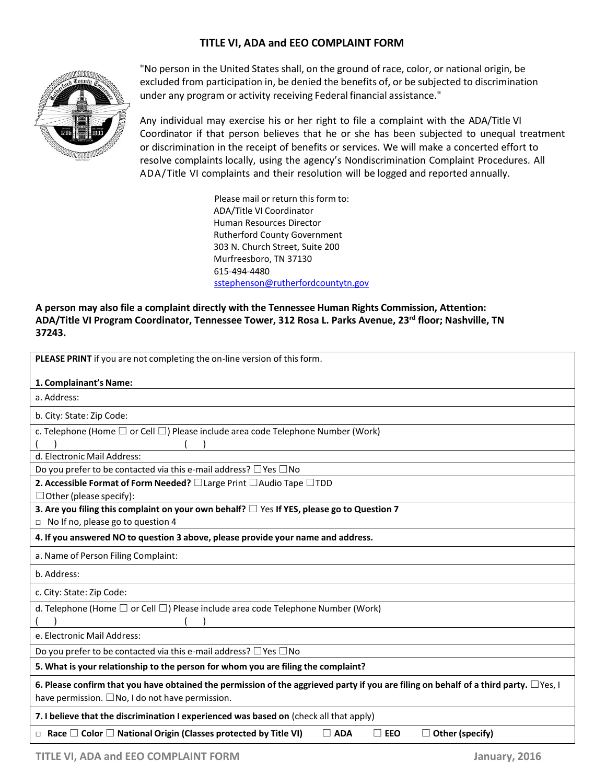## **TITLE VI, ADA and EEO COMPLAINT FORM**



"No person in the United States shall, on the ground of race, color, or national origin, be excluded from participation in, be denied the benefits of, or be subjected to discrimination under any program or activity receiving Federal financial assistance."

Any individual may exercise his or her right to file a complaint with the ADA/Title VI Coordinator if that person believes that he or she has been subjected to unequal treatment or discrimination in the receipt of benefits or services. We will make a concerted effort to resolve complaints locally, using the agency's Nondiscrimination Complaint Procedures. All ADA/Title VI complaints and their resolution will be logged and reported annually.

> Please mail or return this form to: ADA/Title VI Coordinator Human Resources Director Rutherford County Government 303 N. Church Street, Suite 200 Murfreesboro, TN 37130 615-494-4480 sstephenson@rutherfordcountytn.gov

**A person may also file a complaint directly with the Tennessee Human Rights Commission, Attention: ADA/Title VI Program Coordinator, Tennessee Tower, 312 Rosa L. Parks Avenue, 23rd floor; Nashville, TN 37243.**

| PLEASE PRINT if you are not completing the on-line version of this form.                                                                                                                               |
|--------------------------------------------------------------------------------------------------------------------------------------------------------------------------------------------------------|
| 1. Complainant's Name:                                                                                                                                                                                 |
| a. Address:                                                                                                                                                                                            |
| b. City: State: Zip Code:                                                                                                                                                                              |
| c. Telephone (Home $\square$ or Cell $\square$ ) Please include area code Telephone Number (Work)                                                                                                      |
| d. Electronic Mail Address:                                                                                                                                                                            |
| Do you prefer to be contacted via this e-mail address? $\Box$ Yes $\Box$ No                                                                                                                            |
| 2. Accessible Format of Form Needed? □ Large Print □ Audio Tape □ TDD<br>$\Box$ Other (please specify):                                                                                                |
| 3. Are you filing this complaint on your own behalf? $\Box$ Yes If YES, please go to Question 7                                                                                                        |
| $\Box$ No If no, please go to question 4                                                                                                                                                               |
| 4. If you answered NO to question 3 above, please provide your name and address.                                                                                                                       |
| a. Name of Person Filing Complaint:                                                                                                                                                                    |
| b. Address:                                                                                                                                                                                            |
| c. City: State: Zip Code:                                                                                                                                                                              |
| d. Telephone (Home $\square$ or Cell $\square$ ) Please include area code Telephone Number (Work)                                                                                                      |
| e. Electronic Mail Address:                                                                                                                                                                            |
| Do you prefer to be contacted via this e-mail address? $\Box$ Yes $\Box$ No                                                                                                                            |
| 5. What is your relationship to the person for whom you are filing the complaint?                                                                                                                      |
| 6. Please confirm that you have obtained the permission of the aggrieved party if you are filing on behalf of a third party. $\Box$ Yes, I<br>have permission. $\square$ No, I do not have permission. |
| 7. I believe that the discrimination I experienced was based on (check all that apply)                                                                                                                 |
| $\Box$ Race $\Box$ Color $\Box$ National Origin (Classes protected by Title VI)<br>$\Box$ ADA<br>$\Box$ Other (specify)<br>$\Box$ EEO                                                                  |